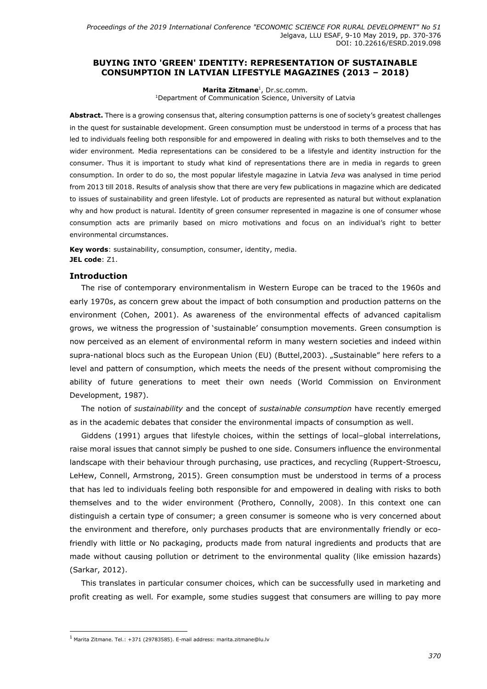### BUYING INTO 'GREEN' IDENTITY: REPRESENTATION OF SUSTAINABLE CONSUMPTION IN LATVIAN LIFESTYLE MAGAZINES (2013 – 2018)

Marita Zitmane<sup>1</sup>, Dr.sc.comm.

<sup>1</sup>Department of Communication Science, University of Latvia

Abstract. There is a growing consensus that, altering consumption patterns is one of society's greatest challenges in the quest for sustainable development. Green consumption must be understood in terms of a process that has led to individuals feeling both responsible for and empowered in dealing with risks to both themselves and to the wider environment. Media representations can be considered to be a lifestyle and identity instruction for the consumer. Thus it is important to study what kind of representations there are in media in regards to green consumption. In order to do so, the most popular lifestyle magazine in Latvia Ieva was analysed in time period from 2013 till 2018. Results of analysis show that there are very few publications in magazine which are dedicated to issues of sustainability and green lifestyle. Lot of products are represented as natural but without explanation why and how product is natural. Identity of green consumer represented in magazine is one of consumer whose consumption acts are primarily based on micro motivations and focus on an individual's right to better environmental circumstances.

Key words: sustainability, consumption, consumer, identity, media. JEL code: Z1.

#### Introduction

j

The rise of contemporary environmentalism in Western Europe can be traced to the 1960s and early 1970s, as concern grew about the impact of both consumption and production patterns on the environment (Cohen, 2001). As awareness of the environmental effects of advanced capitalism grows, we witness the progression of 'sustainable' consumption movements. Green consumption is now perceived as an element of environmental reform in many western societies and indeed within supra-national blocs such as the European Union (EU) (Buttel, 2003). "Sustainable" here refers to a level and pattern of consumption, which meets the needs of the present without compromising the ability of future generations to meet their own needs (World Commission on Environment Development, 1987).

The notion of sustainability and the concept of sustainable consumption have recently emerged as in the academic debates that consider the environmental impacts of consumption as well.

Giddens (1991) argues that lifestyle choices, within the settings of local–global interrelations, raise moral issues that cannot simply be pushed to one side. Consumers influence the environmental landscape with their behaviour through purchasing, use practices, and recycling (Ruppert-Stroescu, LeHew, Connell, Armstrong, 2015). Green consumption must be understood in terms of a process that has led to individuals feeling both responsible for and empowered in dealing with risks to both themselves and to the wider environment (Prothero, Connolly, 2008). In this context one can distinguish a certain type of consumer; a green consumer is someone who is very concerned about the environment and therefore, only purchases products that are environmentally friendly or ecofriendly with little or No packaging, products made from natural ingredients and products that are made without causing pollution or detriment to the environmental quality (like emission hazards) (Sarkar, 2012).

This translates in particular consumer choices, which can be successfully used in marketing and profit creating as well. For example, some studies suggest that consumers are willing to pay more

 $1$  Marita Zitmane. Tel.:  $+371$  (29783585). E-mail address: marita.zitmane@lu.lv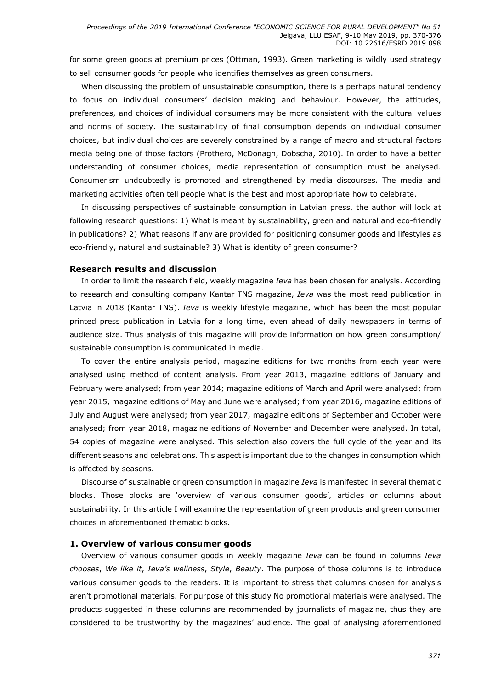for some green goods at premium prices (Ottman, 1993). Green marketing is wildly used strategy to sell consumer goods for people who identifies themselves as green consumers.

When discussing the problem of unsustainable consumption, there is a perhaps natural tendency to focus on individual consumers' decision making and behaviour. However, the attitudes, preferences, and choices of individual consumers may be more consistent with the cultural values and norms of society. The sustainability of final consumption depends on individual consumer choices, but individual choices are severely constrained by a range of macro and structural factors media being one of those factors (Prothero, McDonagh, Dobscha, 2010). In order to have a better understanding of consumer choices, media representation of consumption must be analysed. Consumerism undoubtedly is promoted and strengthened by media discourses. The media and marketing activities often tell people what is the best and most appropriate how to celebrate.

In discussing perspectives of sustainable consumption in Latvian press, the author will look at following research questions: 1) What is meant by sustainability, green and natural and eco-friendly in publications? 2) What reasons if any are provided for positioning consumer goods and lifestyles as eco-friendly, natural and sustainable? 3) What is identity of green consumer?

#### Research results and discussion

In order to limit the research field, weekly magazine *Ieva* has been chosen for analysis. According to research and consulting company Kantar TNS magazine, Ieva was the most read publication in Latvia in 2018 (Kantar TNS). Ieva is weekly lifestyle magazine, which has been the most popular printed press publication in Latvia for a long time, even ahead of daily newspapers in terms of audience size. Thus analysis of this magazine will provide information on how green consumption/ sustainable consumption is communicated in media.

To cover the entire analysis period, magazine editions for two months from each year were analysed using method of content analysis. From year 2013, magazine editions of January and February were analysed; from year 2014; magazine editions of March and April were analysed; from year 2015, magazine editions of May and June were analysed; from year 2016, magazine editions of July and August were analysed; from year 2017, magazine editions of September and October were analysed; from year 2018, magazine editions of November and December were analysed. In total, 54 copies of magazine were analysed. This selection also covers the full cycle of the year and its different seasons and celebrations. This aspect is important due to the changes in consumption which is affected by seasons.

Discourse of sustainable or green consumption in magazine *Ieva* is manifested in several thematic blocks. Those blocks are 'overview of various consumer goods', articles or columns about sustainability. In this article I will examine the representation of green products and green consumer choices in aforementioned thematic blocks.

#### 1. Overview of various consumer goods

Overview of various consumer goods in weekly magazine *Ieva* can be found in columns *Ieva* chooses, We like it, Ieva's wellness, Style, Beauty. The purpose of those columns is to introduce various consumer goods to the readers. It is important to stress that columns chosen for analysis aren't promotional materials. For purpose of this study No promotional materials were analysed. The products suggested in these columns are recommended by journalists of magazine, thus they are considered to be trustworthy by the magazines' audience. The goal of analysing aforementioned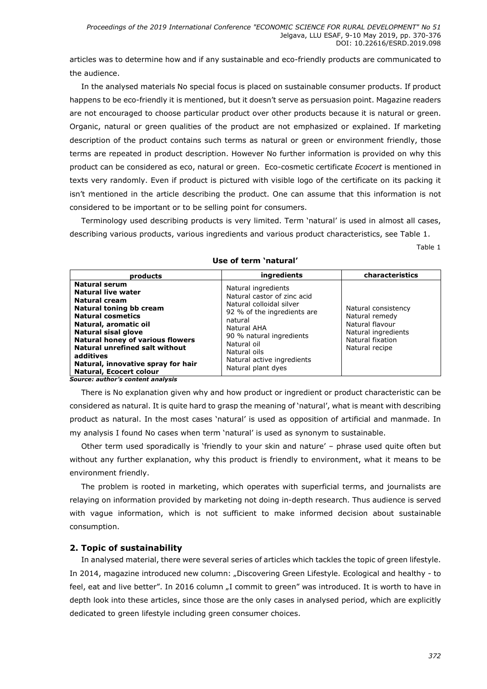articles was to determine how and if any sustainable and eco-friendly products are communicated to the audience.

In the analysed materials No special focus is placed on sustainable consumer products. If product happens to be eco-friendly it is mentioned, but it doesn't serve as persuasion point. Magazine readers are not encouraged to choose particular product over other products because it is natural or green. Organic, natural or green qualities of the product are not emphasized or explained. If marketing description of the product contains such terms as natural or green or environment friendly, those terms are repeated in product description. However No further information is provided on why this product can be considered as eco, natural or green. Eco-cosmetic certificate Ecocert is mentioned in texts very randomly. Even if product is pictured with visible logo of the certificate on its packing it isn't mentioned in the article describing the product. One can assume that this information is not considered to be important or to be selling point for consumers.

Terminology used describing products is very limited. Term 'natural' is used in almost all cases, describing various products, various ingredients and various product characteristics, see Table 1.

Table 1

| products                                                                                                                                                                                                                                                                                                                                    | ingredients                                                                                                                                                                                                                                                   | characteristics                                                                                                       |
|---------------------------------------------------------------------------------------------------------------------------------------------------------------------------------------------------------------------------------------------------------------------------------------------------------------------------------------------|---------------------------------------------------------------------------------------------------------------------------------------------------------------------------------------------------------------------------------------------------------------|-----------------------------------------------------------------------------------------------------------------------|
| <b>Natural serum</b><br>Natural live water<br><b>Natural cream</b><br>Natural toning bb cream<br><b>Natural cosmetics</b><br>Natural, aromatic oil<br>Natural sisal glove<br><b>Natural honey of various flowers</b><br><b>Natural unrefined salt without</b><br>additives<br>Natural, innovative spray for hair<br>Natural, Ecocert colour | Natural ingredients<br>Natural castor of zinc acid<br>Natural colloidal silver<br>92 % of the ingredients are<br>natural<br><b>Natural AHA</b><br>90 % natural ingredients<br>Natural oil<br>Natural oils<br>Natural active ingredients<br>Natural plant dyes | Natural consistency<br>Natural remedy<br>Natural flavour<br>Natural ingredients<br>Natural fixation<br>Natural recipe |

#### Use of term 'natural'

Source: author's content analysis

There is No explanation given why and how product or ingredient or product characteristic can be considered as natural. It is quite hard to grasp the meaning of 'natural', what is meant with describing product as natural. In the most cases 'natural' is used as opposition of artificial and manmade. In my analysis I found No cases when term 'natural' is used as synonym to sustainable.

Other term used sporadically is 'friendly to your skin and nature' – phrase used quite often but without any further explanation, why this product is friendly to environment, what it means to be environment friendly.

The problem is rooted in marketing, which operates with superficial terms, and journalists are relaying on information provided by marketing not doing in-depth research. Thus audience is served with vague information, which is not sufficient to make informed decision about sustainable consumption.

# 2. Topic of sustainability

In analysed material, there were several series of articles which tackles the topic of green lifestyle. In 2014, magazine introduced new column: "Discovering Green Lifestyle. Ecological and healthy - to feel, eat and live better". In 2016 column "I commit to green" was introduced. It is worth to have in depth look into these articles, since those are the only cases in analysed period, which are explicitly dedicated to green lifestyle including green consumer choices.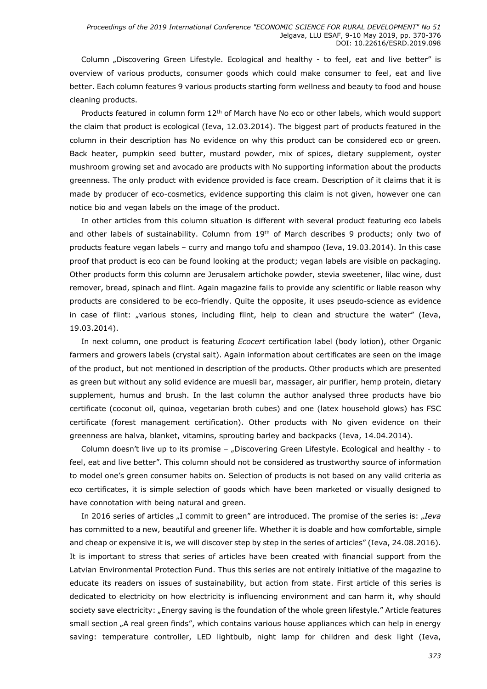Column "Discovering Green Lifestyle. Ecological and healthy - to feel, eat and live better" is overview of various products, consumer goods which could make consumer to feel, eat and live better. Each column features 9 various products starting form wellness and beauty to food and house cleaning products.

Products featured in column form 12<sup>th</sup> of March have No eco or other labels, which would support the claim that product is ecological (Ieva, 12.03.2014). The biggest part of products featured in the column in their description has No evidence on why this product can be considered eco or green. Back heater, pumpkin seed butter, mustard powder, mix of spices, dietary supplement, oyster mushroom growing set and avocado are products with No supporting information about the products greenness. The only product with evidence provided is face cream. Description of it claims that it is made by producer of eco-cosmetics, evidence supporting this claim is not given, however one can notice bio and vegan labels on the image of the product.

In other articles from this column situation is different with several product featuring eco labels and other labels of sustainability. Column from 19th of March describes 9 products; only two of products feature vegan labels – curry and mango tofu and shampoo (Ieva, 19.03.2014). In this case proof that product is eco can be found looking at the product; vegan labels are visible on packaging. Other products form this column are Jerusalem artichoke powder, stevia sweetener, lilac wine, dust remover, bread, spinach and flint. Again magazine fails to provide any scientific or liable reason why products are considered to be eco-friendly. Quite the opposite, it uses pseudo-science as evidence in case of flint: "various stones, including flint, help to clean and structure the water" (Ieva, 19.03.2014).

In next column, one product is featuring *Ecocert* certification label (body lotion), other Organic farmers and growers labels (crystal salt). Again information about certificates are seen on the image of the product, but not mentioned in description of the products. Other products which are presented as green but without any solid evidence are muesli bar, massager, air purifier, hemp protein, dietary supplement, humus and brush. In the last column the author analysed three products have bio certificate (coconut oil, quinoa, vegetarian broth cubes) and one (latex household glows) has FSC certificate (forest management certification). Other products with No given evidence on their greenness are halva, blanket, vitamins, sprouting barley and backpacks (Ieva, 14.04.2014).

Column doesn't live up to its promise – "Discovering Green Lifestyle. Ecological and healthy - to feel, eat and live better". This column should not be considered as trustworthy source of information to model one's green consumer habits on. Selection of products is not based on any valid criteria as eco certificates, it is simple selection of goods which have been marketed or visually designed to have connotation with being natural and green.

In 2016 series of articles  $nI$  commit to green" are introduced. The promise of the series is:  $nIeva$ has committed to a new, beautiful and greener life. Whether it is doable and how comfortable, simple and cheap or expensive it is, we will discover step by step in the series of articles" (Ieva, 24.08.2016). It is important to stress that series of articles have been created with financial support from the Latvian Environmental Protection Fund. Thus this series are not entirely initiative of the magazine to educate its readers on issues of sustainability, but action from state. First article of this series is dedicated to electricity on how electricity is influencing environment and can harm it, why should society save electricity: "Energy saving is the foundation of the whole green lifestyle." Article features small section "A real green finds", which contains various house appliances which can help in energy saving: temperature controller, LED lightbulb, night lamp for children and desk light (Ieva,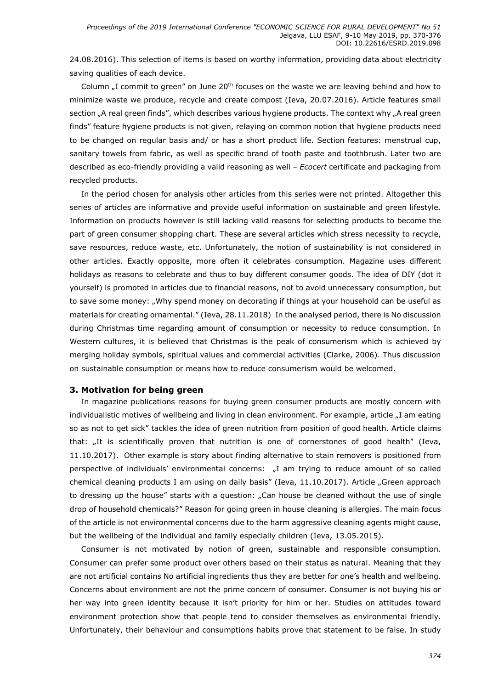24.08.2016). This selection of items is based on worthy information, providing data about electricity saving qualities of each device.

Column ...I commit to green" on June 20<sup>th</sup> focuses on the waste we are leaving behind and how to minimize waste we produce, recycle and create compost (Ieva, 20.07.2016). Article features small section "A real green finds", which describes various hygiene products. The context why "A real green finds" feature hygiene products is not given, relaying on common notion that hygiene products need to be changed on regular basis and/ or has a short product life. Section features: menstrual cup, sanitary towels from fabric, as well as specific brand of tooth paste and toothbrush. Later two are described as eco-friendly providing a valid reasoning as well – *Ecocert* certificate and packaging from recycled products.

In the period chosen for analysis other articles from this series were not printed. Altogether this series of articles are informative and provide useful information on sustainable and green lifestyle. Information on products however is still lacking valid reasons for selecting products to become the part of green consumer shopping chart. These are several articles which stress necessity to recycle, save resources, reduce waste, etc. Unfortunately, the notion of sustainability is not considered in other articles. Exactly opposite, more often it celebrates consumption. Magazine uses different holidays as reasons to celebrate and thus to buy different consumer goods. The idea of DIY (dot it yourself) is promoted in articles due to financial reasons, not to avoid unnecessary consumption, but to save some money: "Why spend money on decorating if things at your household can be useful as materials for creating ornamental." (Ieva, 28.11.2018) In the analysed period, there is No discussion during Christmas time regarding amount of consumption or necessity to reduce consumption. In Western cultures, it is believed that Christmas is the peak of consumerism which is achieved by merging holiday symbols, spiritual values and commercial activities (Clarke, 2006). Thus discussion on sustainable consumption or means how to reduce consumerism would be welcomed.

# 3. Motivation for being green

In magazine publications reasons for buying green consumer products are mostly concern with individualistic motives of wellbeing and living in clean environment. For example, article "I am eating so as not to get sick" tackles the idea of green nutrition from position of good health. Article claims that: "It is scientifically proven that nutrition is one of cornerstones of good health" (Ieva, 11.10.2017). Other example is story about finding alternative to stain removers is positioned from perspective of individuals' environmental concerns: "I am trying to reduce amount of so called chemical cleaning products I am using on daily basis" (Ieva, 11.10.2017). Article "Green approach to dressing up the house" starts with a question: "Can house be cleaned without the use of single drop of household chemicals?" Reason for going green in house cleaning is allergies. The main focus of the article is not environmental concerns due to the harm aggressive cleaning agents might cause, but the wellbeing of the individual and family especially children (Ieva, 13.05.2015).

Consumer is not motivated by notion of green, sustainable and responsible consumption. Consumer can prefer some product over others based on their status as natural. Meaning that they are not artificial contains No artificial ingredients thus they are better for one's health and wellbeing. Concerns about environment are not the prime concern of consumer. Consumer is not buying his or her way into green identity because it isn't priority for him or her. Studies on attitudes toward environment protection show that people tend to consider themselves as environmental friendly. Unfortunately, their behaviour and consumptions habits prove that statement to be false. In study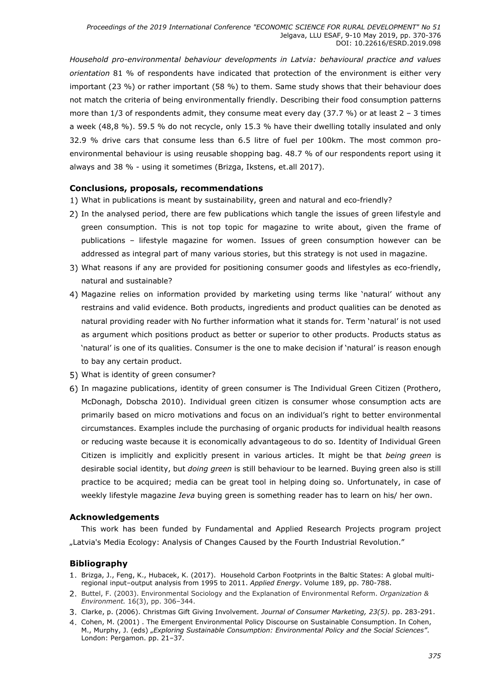Household pro-environmental behaviour developments in Latvia: behavioural practice and values orientation 81 % of respondents have indicated that protection of the environment is either very important (23 %) or rather important (58 %) to them. Same study shows that their behaviour does not match the criteria of being environmentally friendly. Describing their food consumption patterns more than  $1/3$  of respondents admit, they consume meat every day (37.7 %) or at least  $2 - 3$  times a week (48,8 %). 59.5 % do not recycle, only 15.3 % have their dwelling totally insulated and only 32.9 % drive cars that consume less than 6.5 litre of fuel per 100km. The most common proenvironmental behaviour is using reusable shopping bag. 48.7 % of our respondents report using it always and 38 % - using it sometimes (Brizga, Ikstens, et.all 2017).

# Conclusions, proposals, recommendations

- What in publications is meant by sustainability, green and natural and eco-friendly?
- 2) In the analysed period, there are few publications which tangle the issues of green lifestyle and green consumption. This is not top topic for magazine to write about, given the frame of publications – lifestyle magazine for women. Issues of green consumption however can be addressed as integral part of many various stories, but this strategy is not used in magazine.
- What reasons if any are provided for positioning consumer goods and lifestyles as eco-friendly, natural and sustainable?
- Magazine relies on information provided by marketing using terms like 'natural' without any restrains and valid evidence. Both products, ingredients and product qualities can be denoted as natural providing reader with No further information what it stands for. Term 'natural' is not used as argument which positions product as better or superior to other products. Products status as 'natural' is one of its qualities. Consumer is the one to make decision if 'natural' is reason enough to bay any certain product.
- What is identity of green consumer?
- In magazine publications, identity of green consumer is The Individual Green Citizen (Prothero, McDonagh, Dobscha 2010). Individual green citizen is consumer whose consumption acts are primarily based on micro motivations and focus on an individual's right to better environmental circumstances. Examples include the purchasing of organic products for individual health reasons or reducing waste because it is economically advantageous to do so. Identity of Individual Green Citizen is implicitly and explicitly present in various articles. It might be that being green is desirable social identity, but doing green is still behaviour to be learned. Buying green also is still practice to be acquired; media can be great tool in helping doing so. Unfortunately, in case of weekly lifestyle magazine *Ieva* buying green is something reader has to learn on his/ her own.

# Acknowledgements

This work has been funded by Fundamental and Applied Research Projects program project "Latvia's Media Ecology: Analysis of Changes Caused by the Fourth Industrial Revolution."

# Bibliography

- 1. Brizga, J., Feng, K., Hubacek, K. (2017). Household Carbon Footprints in the Baltic States: A global multiregional input–output analysis from 1995 to 2011. Applied Energy. Volume 189, pp. 780-788.
- 2. Buttel, F. (2003). Environmental Sociology and the Explanation of Environmental Reform. Organization & Environment. 16(3), pp. 306–344.
- 3. Clarke, p. (2006). Christmas Gift Giving Involvement. Journal of Consumer Marketing, 23(5). pp. 283-291.
- 4. Cohen, M. (2001) . The Emergent Environmental Policy Discourse on Sustainable Consumption. In Cohen, M., Murphy, J. (eds) "Exploring Sustainable Consumption: Environmental Policy and the Social Sciences". London: Pergamon. pp. 21–37.